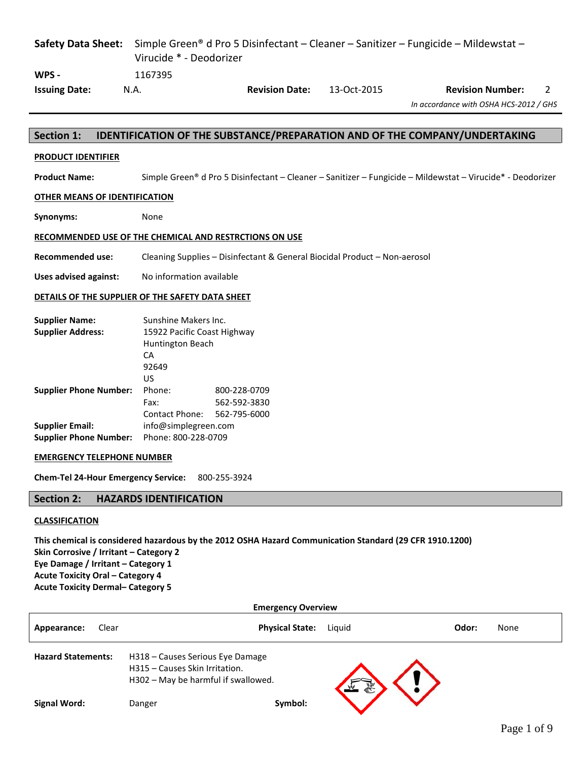| <b>Safety Data Sheet:</b>                              |         | Simple Green <sup>®</sup> d Pro 5 Disinfectant – Cleaner – Sanitizer – Fungicide – Mildewstat –<br>Virucide * - Deodorizer |             |                                                                                                                        |  |  |  |
|--------------------------------------------------------|---------|----------------------------------------------------------------------------------------------------------------------------|-------------|------------------------------------------------------------------------------------------------------------------------|--|--|--|
| WPS -                                                  | 1167395 |                                                                                                                            |             |                                                                                                                        |  |  |  |
| <b>Issuing Date:</b>                                   | N.A.    | <b>Revision Date:</b>                                                                                                      | 13-Oct-2015 | <b>Revision Number:</b><br>2                                                                                           |  |  |  |
|                                                        |         |                                                                                                                            |             | In accordance with OSHA HCS-2012 / GHS                                                                                 |  |  |  |
|                                                        |         |                                                                                                                            |             |                                                                                                                        |  |  |  |
| <b>Section 1:</b>                                      |         |                                                                                                                            |             | <b>IDENTIFICATION OF THE SUBSTANCE/PREPARATION AND OF THE COMPANY/UNDERTAKING</b>                                      |  |  |  |
| <b>PRODUCT IDENTIFIER</b>                              |         |                                                                                                                            |             |                                                                                                                        |  |  |  |
| <b>Product Name:</b>                                   |         |                                                                                                                            |             | Simple Green <sup>®</sup> d Pro 5 Disinfectant – Cleaner – Sanitizer – Fungicide – Mildewstat – Virucide* - Deodorizer |  |  |  |
| OTHER MEANS OF IDENTIFICATION                          |         |                                                                                                                            |             |                                                                                                                        |  |  |  |
| Synonyms:                                              | None    |                                                                                                                            |             |                                                                                                                        |  |  |  |
| RECOMMENDED USE OF THE CHEMICAL AND RESTRCTIONS ON USE |         |                                                                                                                            |             |                                                                                                                        |  |  |  |

**Recommended use:** Cleaning Supplies – Disinfectant & General Biocidal Product – Non-aerosol

**Uses advised against:** No information available

### **DETAILS OF THE SUPPLIER OF THE SAFETY DATA SHEET**

| <b>Supplier Name:</b>         | Sunshine Makers Inc.        |              |  |  |
|-------------------------------|-----------------------------|--------------|--|--|
| <b>Supplier Address:</b>      | 15922 Pacific Coast Highway |              |  |  |
|                               | Huntington Beach            |              |  |  |
|                               | СA                          |              |  |  |
|                               | 92649                       |              |  |  |
|                               | US                          |              |  |  |
| <b>Supplier Phone Number:</b> | Phone:                      | 800-228-0709 |  |  |
|                               | Fax:                        | 562-592-3830 |  |  |
|                               | Contact Phone:              | 562-795-6000 |  |  |
| <b>Supplier Email:</b>        | info@simplegreen.com        |              |  |  |
| <b>Supplier Phone Number:</b> | Phone: 800-228-0709         |              |  |  |

### **EMERGENCY TELEPHONE NUMBER**

**Chem-Tel 24-Hour Emergency Service:** 800-255-3924

# **Section 2: HAZARDS IDENTIFICATION**

# **CLASSIFICATION**

**This chemical is considered hazardous by the 2012 OSHA Hazard Communication Standard (29 CFR 1910.1200) Skin Corrosive / Irritant – Category 2 Eye Damage / Irritant – Category 1 Acute Toxicity Oral – Category 4 Acute Toxicity Dermal– Category 5**

| <b>Emergency Overview</b> |       |                                                                                                           |                        |        |       |      |
|---------------------------|-------|-----------------------------------------------------------------------------------------------------------|------------------------|--------|-------|------|
| Appearance:               | Clear |                                                                                                           | <b>Physical State:</b> | Liguid | Odor: | None |
| <b>Hazard Statements:</b> |       | H318 - Causes Serious Eye Damage<br>H315 - Causes Skin Irritation.<br>H302 - May be harmful if swallowed. |                        |        |       |      |
| <b>Signal Word:</b>       |       | Danger                                                                                                    | Symbol:                |        |       |      |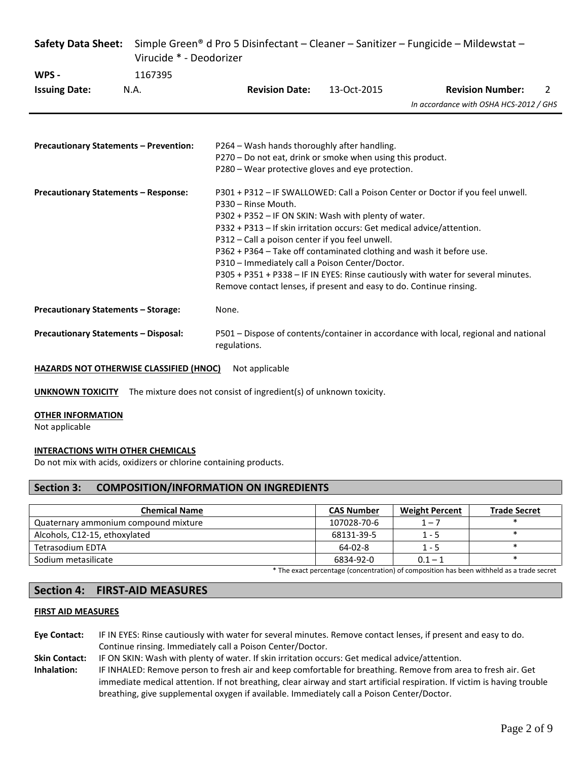| <b>Safety Data Sheet:</b>                     | Simple Green <sup>®</sup> d Pro 5 Disinfectant – Cleaner – Sanitizer – Fungicide – Mildewstat –<br>Virucide * - Deodorizer |                                                                                                                                                                                                                                                                                                                                                                                                                                                                                                                                                                                   |             |                                        |   |  |  |
|-----------------------------------------------|----------------------------------------------------------------------------------------------------------------------------|-----------------------------------------------------------------------------------------------------------------------------------------------------------------------------------------------------------------------------------------------------------------------------------------------------------------------------------------------------------------------------------------------------------------------------------------------------------------------------------------------------------------------------------------------------------------------------------|-------------|----------------------------------------|---|--|--|
| WPS -                                         | 1167395                                                                                                                    |                                                                                                                                                                                                                                                                                                                                                                                                                                                                                                                                                                                   |             |                                        |   |  |  |
| <b>Issuing Date:</b>                          | N.A.                                                                                                                       | <b>Revision Date:</b>                                                                                                                                                                                                                                                                                                                                                                                                                                                                                                                                                             | 13-Oct-2015 | <b>Revision Number:</b>                | 2 |  |  |
|                                               |                                                                                                                            |                                                                                                                                                                                                                                                                                                                                                                                                                                                                                                                                                                                   |             | In accordance with OSHA HCS-2012 / GHS |   |  |  |
|                                               |                                                                                                                            |                                                                                                                                                                                                                                                                                                                                                                                                                                                                                                                                                                                   |             |                                        |   |  |  |
| <b>Precautionary Statements - Prevention:</b> |                                                                                                                            | P264 – Wash hands thoroughly after handling.<br>P270 - Do not eat, drink or smoke when using this product.                                                                                                                                                                                                                                                                                                                                                                                                                                                                        |             |                                        |   |  |  |
|                                               |                                                                                                                            | P280 - Wear protective gloves and eye protection.                                                                                                                                                                                                                                                                                                                                                                                                                                                                                                                                 |             |                                        |   |  |  |
| <b>Precautionary Statements - Response:</b>   |                                                                                                                            | P301 + P312 - IF SWALLOWED: Call a Poison Center or Doctor if you feel unwell.<br>P330 - Rinse Mouth.<br>P302 + P352 - IF ON SKIN: Wash with plenty of water.<br>P332 + P313 - If skin irritation occurs: Get medical advice/attention.<br>P312 - Call a poison center if you feel unwell.<br>P362 + P364 - Take off contaminated clothing and wash it before use.<br>P310 - Immediately call a Poison Center/Doctor.<br>P305 + P351 + P338 - IF IN EYES: Rinse cautiously with water for several minutes.<br>Remove contact lenses, if present and easy to do. Continue rinsing. |             |                                        |   |  |  |
|                                               | <b>Precautionary Statements - Storage:</b><br>None.                                                                        |                                                                                                                                                                                                                                                                                                                                                                                                                                                                                                                                                                                   |             |                                        |   |  |  |
| <b>Precautionary Statements - Disposal:</b>   |                                                                                                                            | P501 - Dispose of contents/container in accordance with local, regional and national<br>regulations.                                                                                                                                                                                                                                                                                                                                                                                                                                                                              |             |                                        |   |  |  |

**HAZARDS NOT OTHERWISE CLASSIFIED (HNOC)** Not applicable

**UNKNOWN TOXICITY** The mixture does not consist of ingredient(s) of unknown toxicity.

# **OTHER INFORMATION**

Not applicable

# **INTERACTIONS WITH OTHER CHEMICALS**

Do not mix with acids, oxidizers or chlorine containing products.

# **Section 3: COMPOSITION/INFORMATION ON INGREDIENTS**

| <b>Chemical Name</b>                 | <b>CAS Number</b> | <b>Weight Percent</b> | <b>Trade Secret</b> |
|--------------------------------------|-------------------|-----------------------|---------------------|
| Quaternary ammonium compound mixture | 107028-70-6       | $1 - 7$               |                     |
| Alcohols, C12-15, ethoxylated        | 68131-39-5        | $1 - 5$               |                     |
| Tetrasodium EDTA                     | 64-02-8           | $1 - 5$               |                     |
| Sodium metasilicate                  | 6834-92-0         | $0.1 - 1$             |                     |

\* The exact percentage (concentration) of composition has been withheld as a trade secret

# **Section 4: FIRST-AID MEASURES**

### **FIRST AID MEASURES**

**Eye Contact:** IF IN EYES: Rinse cautiously with water for several minutes. Remove contact lenses, if present and easy to do. Continue rinsing. Immediately call a Poison Center/Doctor.

- **Skin Contact:** IF ON SKIN: Wash with plenty of water. If skin irritation occurs: Get medical advice/attention.
- **Inhalation:** IF INHALED: Remove person to fresh air and keep comfortable for breathing. Remove from area to fresh air. Get immediate medical attention. If not breathing, clear airway and start artificial respiration. If victim is having trouble breathing, give supplemental oxygen if available. Immediately call a Poison Center/Doctor.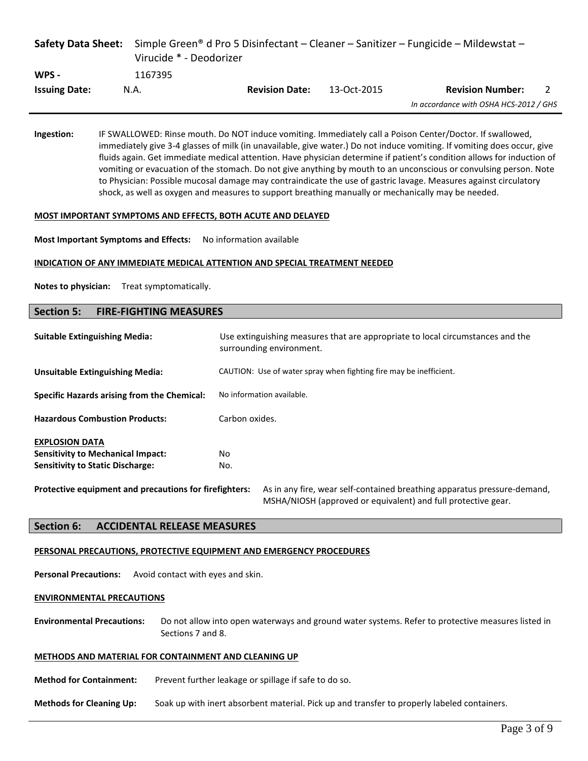|                      | Virucide * - Deodorizer |                       |             | <b>Safety Data Sheet:</b> Simple Green <sup>®</sup> d Pro 5 Disinfectant – Cleaner – Sanitizer – Fungicide – Mildewstat – |  |
|----------------------|-------------------------|-----------------------|-------------|---------------------------------------------------------------------------------------------------------------------------|--|
| WPS -                | 1167395                 |                       |             |                                                                                                                           |  |
| <b>Issuing Date:</b> | N.A.                    | <b>Revision Date:</b> | 13-Oct-2015 | <b>Revision Number:</b>                                                                                                   |  |
|                      |                         |                       |             | In accordance with OSHA HCS-2012 / GHS                                                                                    |  |

**Ingestion:** IF SWALLOWED: Rinse mouth. Do NOT induce vomiting. Immediately call a Poison Center/Doctor. If swallowed, immediately give 3-4 glasses of milk (in unavailable, give water.) Do not induce vomiting. If vomiting does occur, give fluids again. Get immediate medical attention. Have physician determine if patient's condition allows for induction of vomiting or evacuation of the stomach. Do not give anything by mouth to an unconscious or convulsing person. Note to Physician: Possible mucosal damage may contraindicate the use of gastric lavage. Measures against circulatory shock, as well as oxygen and measures to support breathing manually or mechanically may be needed.

#### **MOST IMPORTANT SYMPTOMS AND EFFECTS, BOTH ACUTE AND DELAYED**

**Most Important Symptoms and Effects:** No information available

#### **INDICATION OF ANY IMMEDIATE MEDICAL ATTENTION AND SPECIAL TREATMENT NEEDED**

**Notes to physician:** Treat symptomatically.

# **Section 5: FIRE-FIGHTING MEASURES**

| <b>Suitable Extinguishing Media:</b>                                                                         | Use extinguishing measures that are appropriate to local circumstances and the<br>surrounding environment. |  |  |
|--------------------------------------------------------------------------------------------------------------|------------------------------------------------------------------------------------------------------------|--|--|
| <b>Unsuitable Extinguishing Media:</b>                                                                       | CAUTION: Use of water spray when fighting fire may be inefficient.                                         |  |  |
| Specific Hazards arising from the Chemical:                                                                  | No information available.                                                                                  |  |  |
| <b>Hazardous Combustion Products:</b>                                                                        | Carbon oxides.                                                                                             |  |  |
| <b>EXPLOSION DATA</b><br><b>Sensitivity to Mechanical Impact:</b><br><b>Sensitivity to Static Discharge:</b> | No.<br>No.                                                                                                 |  |  |
| Protective equipment and precautions for firefighters:                                                       | As in any fire, wear self-contained breathing apparatus pressure-demand,                                   |  |  |

MSHA/NIOSH (approved or equivalent) and full protective gear.

### **Section 6: ACCIDENTAL RELEASE MEASURES**

#### **PERSONAL PRECAUTIONS, PROTECTIVE EQUIPMENT AND EMERGENCY PROCEDURES**

**Personal Precautions:** Avoid contact with eyes and skin.

#### **ENVIRONMENTAL PRECAUTIONS**

**Environmental Precautions:** Do not allow into open waterways and ground water systems. Refer to protective measures listed in Sections 7 and 8.

#### **METHODS AND MATERIAL FOR CONTAINMENT AND CLEANING UP**

**Method for Containment:** Prevent further leakage or spillage if safe to do so.

**Methods for Cleaning Up:** Soak up with inert absorbent material. Pick up and transfer to properly labeled containers.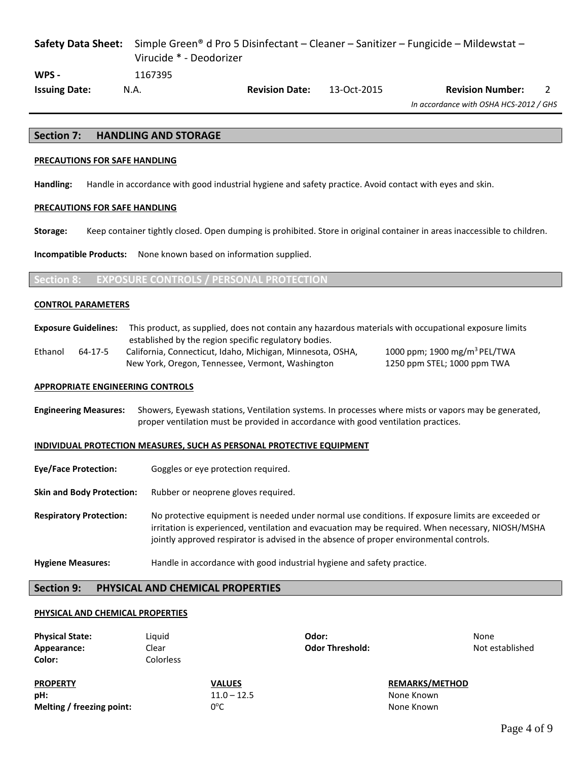# **Safety Data Sheet:** Simple Green® d Pro 5 Disinfectant – Cleaner – Sanitizer – Fungicide – Mildewstat – Virucide \* - Deodorizer **WPS -** 1167395 **Issuing Date:** N.A. **Revision Date:** 13-Oct-2015 **Revision Number:** 2

*In accordance with OSHA HCS-2012 / GHS*

### **Section 7: HANDLING AND STORAGE**

#### **PRECAUTIONS FOR SAFE HANDLING**

**Handling:** Handle in accordance with good industrial hygiene and safety practice. Avoid contact with eyes and skin.

#### **PRECAUTIONS FOR SAFE HANDLING**

**Storage:** Keep container tightly closed. Open dumping is prohibited. Store in original container in areas inaccessible to children.

**Incompatible Products:** None known based on information supplied.

### **Section 8: EXPOSURE CONTROLS / PERSONAL PROTECTION**

#### **CONTROL PARAMETERS**

**Exposure Guidelines:** This product, as supplied, does not contain any hazardous materials with occupational exposure limits established by the region specific regulatory bodies.

Ethanol 64-17-5 California, Connecticut, Idaho, Michigan, Minnesota, OSHA, New York, Oregon, Tennessee, Vermont, Washington

# 1000 ppm; 1900 mg/m3 PEL/TWA 1250 ppm STEL; 1000 ppm TWA

#### **APPROPRIATE ENGINEERING CONTROLS**

**Engineering Measures:** Showers, Eyewash stations, Ventilation systems. In processes where mists or vapors may be generated, proper ventilation must be provided in accordance with good ventilation practices.

#### **INDIVIDUAL PROTECTION MEASURES, SUCH AS PERSONAL PROTECTIVE EQUIPMENT**

- **Eye/Face Protection:** Goggles or eye protection required.
- **Skin and Body Protection:** Rubber or neoprene gloves required.
- **Respiratory Protection:** No protective equipment is needed under normal use conditions. If exposure limits are exceeded or irritation is experienced, ventilation and evacuation may be required. When necessary, NIOSH/MSHA jointly approved respirator is advised in the absence of proper environmental controls.
- **Hygiene Measures:** Handle in accordance with good industrial hygiene and safety practice.

### **Section 9: PHYSICAL AND CHEMICAL PROPERTIES**

#### **PHYSICAL AND CHEMICAL PROPERTIES**

| <b>Physical State:</b><br>Appearance:<br>Color: | Liguid<br>Clear<br>Colorless | Odor:<br><b>Odor Threshold:</b> | None<br>Not established |
|-------------------------------------------------|------------------------------|---------------------------------|-------------------------|
| <b>PROPERTY</b>                                 | <b>VALUES</b>                |                                 | <b>REMARKS/METHOD</b>   |

**pH:** 11.0 – 12.5 None Known **Melting / freezing point:** 0°C

None Known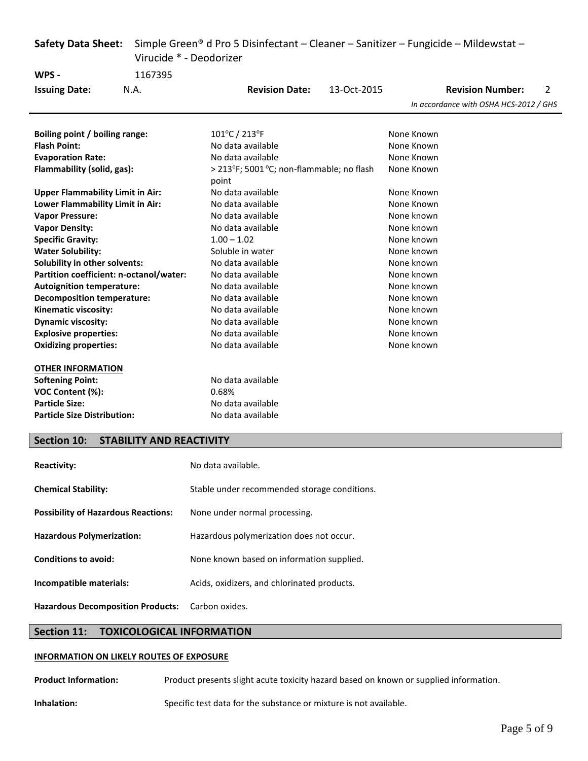| <b>Safety Data Sheet:</b>                  |                                 | Simple Green® d Pro 5 Disinfectant – Cleaner – Sanitizer – Fungicide – Mildewstat – |             |            |                                        |   |  |
|--------------------------------------------|---------------------------------|-------------------------------------------------------------------------------------|-------------|------------|----------------------------------------|---|--|
|                                            |                                 | Virucide * - Deodorizer                                                             |             |            |                                        |   |  |
| WPS -                                      | 1167395                         |                                                                                     |             |            |                                        |   |  |
| <b>Issuing Date:</b>                       | N.A.                            | <b>Revision Date:</b>                                                               | 13-Oct-2015 |            | <b>Revision Number:</b>                | 2 |  |
|                                            |                                 |                                                                                     |             |            | In accordance with OSHA HCS-2012 / GHS |   |  |
|                                            |                                 |                                                                                     |             |            |                                        |   |  |
| Boiling point / boiling range:             |                                 | 101°C / 213°F                                                                       |             | None Known |                                        |   |  |
| <b>Flash Point:</b>                        |                                 | No data available                                                                   |             | None Known |                                        |   |  |
| <b>Evaporation Rate:</b>                   |                                 | No data available                                                                   |             | None Known |                                        |   |  |
| Flammability (solid, gas):                 |                                 | > 213°F; 5001 °C; non-flammable; no flash<br>point                                  |             | None Known |                                        |   |  |
| <b>Upper Flammability Limit in Air:</b>    |                                 | No data available                                                                   |             | None Known |                                        |   |  |
| Lower Flammability Limit in Air:           |                                 | No data available                                                                   |             | None Known |                                        |   |  |
| <b>Vapor Pressure:</b>                     |                                 | No data available                                                                   |             | None known |                                        |   |  |
| <b>Vapor Density:</b>                      |                                 | No data available                                                                   |             | None known |                                        |   |  |
| <b>Specific Gravity:</b>                   |                                 | $1.00 - 1.02$                                                                       |             | None known |                                        |   |  |
| <b>Water Solubility:</b>                   |                                 | Soluble in water                                                                    |             | None known |                                        |   |  |
| Solubility in other solvents:              |                                 | No data available                                                                   |             | None known |                                        |   |  |
| Partition coefficient: n-octanol/water:    |                                 | No data available                                                                   | None known  |            |                                        |   |  |
| <b>Autoignition temperature:</b>           |                                 | No data available                                                                   | None known  |            |                                        |   |  |
| <b>Decomposition temperature:</b>          |                                 | No data available                                                                   | None known  |            |                                        |   |  |
| Kinematic viscosity:                       |                                 | No data available                                                                   |             | None known |                                        |   |  |
| <b>Dynamic viscosity:</b>                  |                                 | No data available                                                                   |             | None known |                                        |   |  |
| <b>Explosive properties:</b>               |                                 | No data available                                                                   |             | None known |                                        |   |  |
| <b>Oxidizing properties:</b>               |                                 | No data available                                                                   |             | None known |                                        |   |  |
| <b>OTHER INFORMATION</b>                   |                                 |                                                                                     |             |            |                                        |   |  |
| <b>Softening Point:</b>                    |                                 | No data available                                                                   |             |            |                                        |   |  |
| VOC Content (%):                           |                                 | 0.68%                                                                               |             |            |                                        |   |  |
| <b>Particle Size:</b>                      |                                 | No data available                                                                   |             |            |                                        |   |  |
| <b>Particle Size Distribution:</b>         |                                 | No data available                                                                   |             |            |                                        |   |  |
| <b>Section 10:</b>                         | <b>STABILITY AND REACTIVITY</b> |                                                                                     |             |            |                                        |   |  |
|                                            |                                 |                                                                                     |             |            |                                        |   |  |
| <b>Reactivity:</b>                         |                                 | No data available.                                                                  |             |            |                                        |   |  |
| <b>Chemical Stability:</b>                 |                                 | Stable under recommended storage conditions.                                        |             |            |                                        |   |  |
| <b>Possibility of Hazardous Reactions:</b> |                                 | None under normal processing.                                                       |             |            |                                        |   |  |
| <b>Hazardous Polymerization:</b>           |                                 | Hazardous polymerization does not occur.                                            |             |            |                                        |   |  |
| <b>Conditions to avoid:</b>                |                                 | None known based on information supplied.                                           |             |            |                                        |   |  |

**Incompatible materials:** Acids, oxidizers, and chlorinated products.

**Hazardous Decomposition Products:** Carbon oxides.

# **Section 11: TOXICOLOGICAL INFORMATION**

# **INFORMATION ON LIKELY ROUTES OF EXPOSURE**

Product Information: Product presents slight acute toxicity hazard based on known or supplied information.

**Inhalation:** Specific test data for the substance or mixture is not available.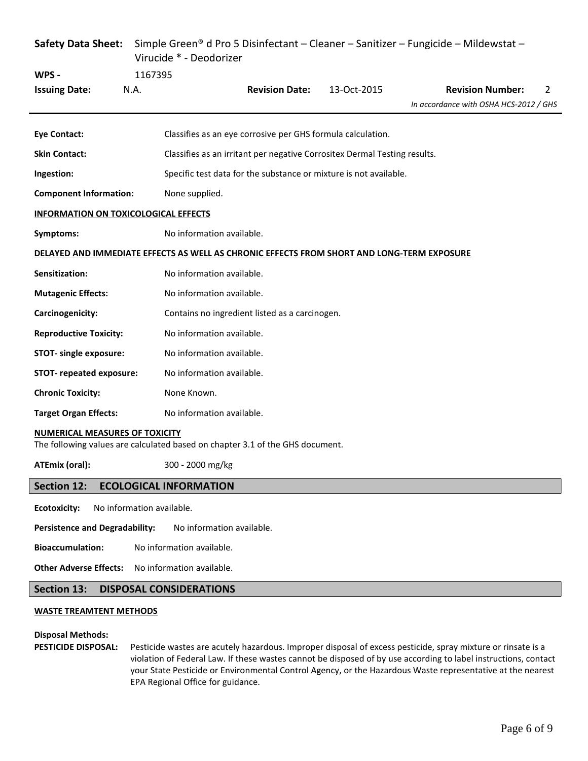|                                                                                                                        |                                                                           | Virucide * - Deodorizer                                           |                                                             |             | Safety Data Sheet: Simple Green® d Pro 5 Disinfectant - Cleaner - Sanitizer - Fungicide - Mildewstat - |  |  |
|------------------------------------------------------------------------------------------------------------------------|---------------------------------------------------------------------------|-------------------------------------------------------------------|-------------------------------------------------------------|-------------|--------------------------------------------------------------------------------------------------------|--|--|
| WPS -                                                                                                                  | 1167395                                                                   |                                                                   |                                                             |             |                                                                                                        |  |  |
| <b>Issuing Date:</b>                                                                                                   | N.A.                                                                      |                                                                   | <b>Revision Date:</b>                                       | 13-Oct-2015 | <b>Revision Number:</b><br>2<br>In accordance with OSHA HCS-2012 / GHS                                 |  |  |
|                                                                                                                        |                                                                           |                                                                   |                                                             |             |                                                                                                        |  |  |
| <b>Eye Contact:</b>                                                                                                    |                                                                           |                                                                   | Classifies as an eye corrosive per GHS formula calculation. |             |                                                                                                        |  |  |
| <b>Skin Contact:</b>                                                                                                   | Classifies as an irritant per negative Corrositex Dermal Testing results. |                                                                   |                                                             |             |                                                                                                        |  |  |
| Ingestion:                                                                                                             |                                                                           | Specific test data for the substance or mixture is not available. |                                                             |             |                                                                                                        |  |  |
| <b>Component Information:</b>                                                                                          |                                                                           | None supplied.                                                    |                                                             |             |                                                                                                        |  |  |
| <b>INFORMATION ON TOXICOLOGICAL EFFECTS</b>                                                                            |                                                                           |                                                                   |                                                             |             |                                                                                                        |  |  |
| Symptoms:                                                                                                              | No information available.                                                 |                                                                   |                                                             |             |                                                                                                        |  |  |
| DELAYED AND IMMEDIATE EFFECTS AS WELL AS CHRONIC EFFECTS FROM SHORT AND LONG-TERM EXPOSURE                             |                                                                           |                                                                   |                                                             |             |                                                                                                        |  |  |
| Sensitization:                                                                                                         |                                                                           | No information available.                                         |                                                             |             |                                                                                                        |  |  |
| <b>Mutagenic Effects:</b>                                                                                              |                                                                           | No information available.                                         |                                                             |             |                                                                                                        |  |  |
| Carcinogenicity:                                                                                                       |                                                                           |                                                                   | Contains no ingredient listed as a carcinogen.              |             |                                                                                                        |  |  |
| <b>Reproductive Toxicity:</b>                                                                                          |                                                                           | No information available.                                         |                                                             |             |                                                                                                        |  |  |
| <b>STOT-</b> single exposure:                                                                                          |                                                                           | No information available.                                         |                                                             |             |                                                                                                        |  |  |
| <b>STOT-</b> repeated exposure:                                                                                        |                                                                           | No information available.                                         |                                                             |             |                                                                                                        |  |  |
| <b>Chronic Toxicity:</b>                                                                                               |                                                                           | None Known.                                                       |                                                             |             |                                                                                                        |  |  |
| <b>Target Organ Effects:</b>                                                                                           |                                                                           | No information available.                                         |                                                             |             |                                                                                                        |  |  |
| <b>NUMERICAL MEASURES OF TOXICITY</b><br>The following values are calculated based on chapter 3.1 of the GHS document. |                                                                           |                                                                   |                                                             |             |                                                                                                        |  |  |

**ATEmix (oral):** 300 - 2000 mg/kg

# **Section 12: ECOLOGICAL INFORMATION**

**Ecotoxicity:** No information available.

Persistence and Degradability: No information available.

**Bioaccumulation:** No information available.

**Other Adverse Effects:** No information available.

# **Section 13: DISPOSAL CONSIDERATIONS**

### **WASTE TREAMTENT METHODS**

# **Disposal Methods:**

**PESTICIDE DISPOSAL:** Pesticide wastes are acutely hazardous. Improper disposal of excess pesticide, spray mixture or rinsate is a violation of Federal Law. If these wastes cannot be disposed of by use according to label instructions, contact your State Pesticide or Environmental Control Agency, or the Hazardous Waste representative at the nearest EPA Regional Office for guidance.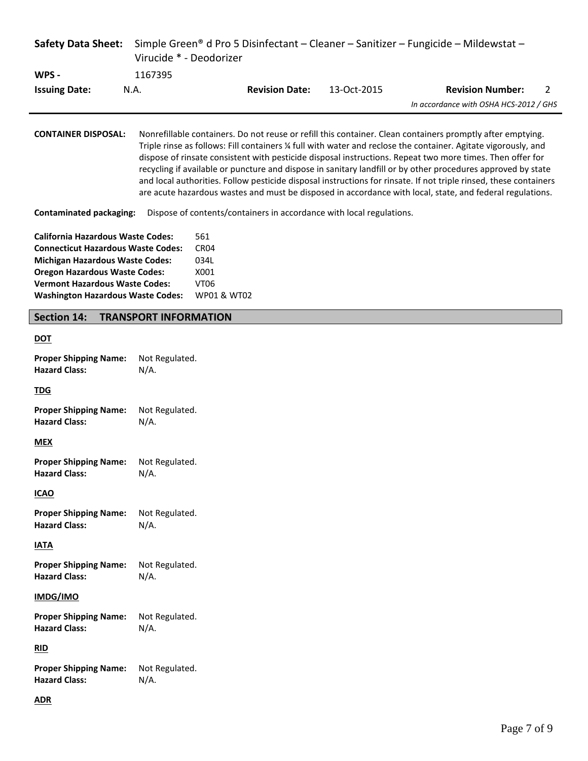| <b>Safety Data Sheet:</b>                                                                                                                                                                                                                                    |                              |                                                                       |                       |                                                                      | Simple Green® d Pro 5 Disinfectant – Cleaner – Sanitizer – Fungicide – Mildewstat –                                                                                                                                                                                                                                                                                                                                                                                                                                                                                                                                                                                                        |
|--------------------------------------------------------------------------------------------------------------------------------------------------------------------------------------------------------------------------------------------------------------|------------------------------|-----------------------------------------------------------------------|-----------------------|----------------------------------------------------------------------|--------------------------------------------------------------------------------------------------------------------------------------------------------------------------------------------------------------------------------------------------------------------------------------------------------------------------------------------------------------------------------------------------------------------------------------------------------------------------------------------------------------------------------------------------------------------------------------------------------------------------------------------------------------------------------------------|
|                                                                                                                                                                                                                                                              | Virucide * - Deodorizer      |                                                                       |                       |                                                                      |                                                                                                                                                                                                                                                                                                                                                                                                                                                                                                                                                                                                                                                                                            |
| WPS -                                                                                                                                                                                                                                                        | 1167395                      |                                                                       |                       |                                                                      |                                                                                                                                                                                                                                                                                                                                                                                                                                                                                                                                                                                                                                                                                            |
| <b>Issuing Date:</b>                                                                                                                                                                                                                                         | N.A.                         |                                                                       | <b>Revision Date:</b> | 13-Oct-2015                                                          | <b>Revision Number:</b><br>$\overline{2}$<br>In accordance with OSHA HCS-2012 / GHS                                                                                                                                                                                                                                                                                                                                                                                                                                                                                                                                                                                                        |
|                                                                                                                                                                                                                                                              |                              |                                                                       |                       |                                                                      |                                                                                                                                                                                                                                                                                                                                                                                                                                                                                                                                                                                                                                                                                            |
| <b>CONTAINER DISPOSAL:</b>                                                                                                                                                                                                                                   |                              |                                                                       |                       |                                                                      | Nonrefillable containers. Do not reuse or refill this container. Clean containers promptly after emptying.<br>Triple rinse as follows: Fill containers ¼ full with water and reclose the container. Agitate vigorously, and<br>dispose of rinsate consistent with pesticide disposal instructions. Repeat two more times. Then offer for<br>recycling if available or puncture and dispose in sanitary landfill or by other procedures approved by state<br>and local authorities. Follow pesticide disposal instructions for rinsate. If not triple rinsed, these containers<br>are acute hazardous wastes and must be disposed in accordance with local, state, and federal regulations. |
| <b>Contaminated packaging:</b>                                                                                                                                                                                                                               |                              |                                                                       |                       | Dispose of contents/containers in accordance with local regulations. |                                                                                                                                                                                                                                                                                                                                                                                                                                                                                                                                                                                                                                                                                            |
| <b>California Hazardous Waste Codes:</b><br><b>Connecticut Hazardous Waste Codes:</b><br><b>Michigan Hazardous Waste Codes:</b><br><b>Oregon Hazardous Waste Codes:</b><br><b>Vermont Hazardous Waste Codes:</b><br><b>Washington Hazardous Waste Codes:</b> |                              | 561<br>CR <sub>04</sub><br>034L<br>X001<br><b>VT06</b><br>WP01 & WT02 |                       |                                                                      |                                                                                                                                                                                                                                                                                                                                                                                                                                                                                                                                                                                                                                                                                            |
| <b>Section 14:</b>                                                                                                                                                                                                                                           | <b>TRANSPORT INFORMATION</b> |                                                                       |                       |                                                                      |                                                                                                                                                                                                                                                                                                                                                                                                                                                                                                                                                                                                                                                                                            |
| <b>DOT</b>                                                                                                                                                                                                                                                   |                              |                                                                       |                       |                                                                      |                                                                                                                                                                                                                                                                                                                                                                                                                                                                                                                                                                                                                                                                                            |
| <b>Proper Shipping Name:</b><br><b>Hazard Class:</b>                                                                                                                                                                                                         | Not Regulated.<br>$N/A$ .    |                                                                       |                       |                                                                      |                                                                                                                                                                                                                                                                                                                                                                                                                                                                                                                                                                                                                                                                                            |
| <b>TDG</b>                                                                                                                                                                                                                                                   |                              |                                                                       |                       |                                                                      |                                                                                                                                                                                                                                                                                                                                                                                                                                                                                                                                                                                                                                                                                            |
| <b>Proper Shipping Name:</b><br><b>Hazard Class:</b>                                                                                                                                                                                                         | Not Regulated.<br>$N/A$ .    |                                                                       |                       |                                                                      |                                                                                                                                                                                                                                                                                                                                                                                                                                                                                                                                                                                                                                                                                            |
| <b>MEX</b>                                                                                                                                                                                                                                                   |                              |                                                                       |                       |                                                                      |                                                                                                                                                                                                                                                                                                                                                                                                                                                                                                                                                                                                                                                                                            |
| <b>Proper Shipping Name:</b><br><b>Hazard Class:</b>                                                                                                                                                                                                         | Not Regulated.<br>$N/A$ .    |                                                                       |                       |                                                                      |                                                                                                                                                                                                                                                                                                                                                                                                                                                                                                                                                                                                                                                                                            |
| <b>ICAO</b>                                                                                                                                                                                                                                                  |                              |                                                                       |                       |                                                                      |                                                                                                                                                                                                                                                                                                                                                                                                                                                                                                                                                                                                                                                                                            |
| <b>Proper Shipping Name:</b><br><b>Hazard Class:</b>                                                                                                                                                                                                         | Not Regulated.<br>$N/A$ .    |                                                                       |                       |                                                                      |                                                                                                                                                                                                                                                                                                                                                                                                                                                                                                                                                                                                                                                                                            |
| <b>IATA</b>                                                                                                                                                                                                                                                  |                              |                                                                       |                       |                                                                      |                                                                                                                                                                                                                                                                                                                                                                                                                                                                                                                                                                                                                                                                                            |
| <b>Proper Shipping Name:</b><br><b>Hazard Class:</b>                                                                                                                                                                                                         | Not Regulated.<br>$N/A$ .    |                                                                       |                       |                                                                      |                                                                                                                                                                                                                                                                                                                                                                                                                                                                                                                                                                                                                                                                                            |
| IMDG/IMO                                                                                                                                                                                                                                                     |                              |                                                                       |                       |                                                                      |                                                                                                                                                                                                                                                                                                                                                                                                                                                                                                                                                                                                                                                                                            |
| <b>Proper Shipping Name:</b><br><b>Hazard Class:</b>                                                                                                                                                                                                         | Not Regulated.<br>$N/A$ .    |                                                                       |                       |                                                                      |                                                                                                                                                                                                                                                                                                                                                                                                                                                                                                                                                                                                                                                                                            |
| RID                                                                                                                                                                                                                                                          |                              |                                                                       |                       |                                                                      |                                                                                                                                                                                                                                                                                                                                                                                                                                                                                                                                                                                                                                                                                            |
| <b>Proper Shipping Name:</b><br><b>Hazard Class:</b>                                                                                                                                                                                                         | Not Regulated.<br>$N/A$ .    |                                                                       |                       |                                                                      |                                                                                                                                                                                                                                                                                                                                                                                                                                                                                                                                                                                                                                                                                            |
| <b>ADR</b>                                                                                                                                                                                                                                                   |                              |                                                                       |                       |                                                                      |                                                                                                                                                                                                                                                                                                                                                                                                                                                                                                                                                                                                                                                                                            |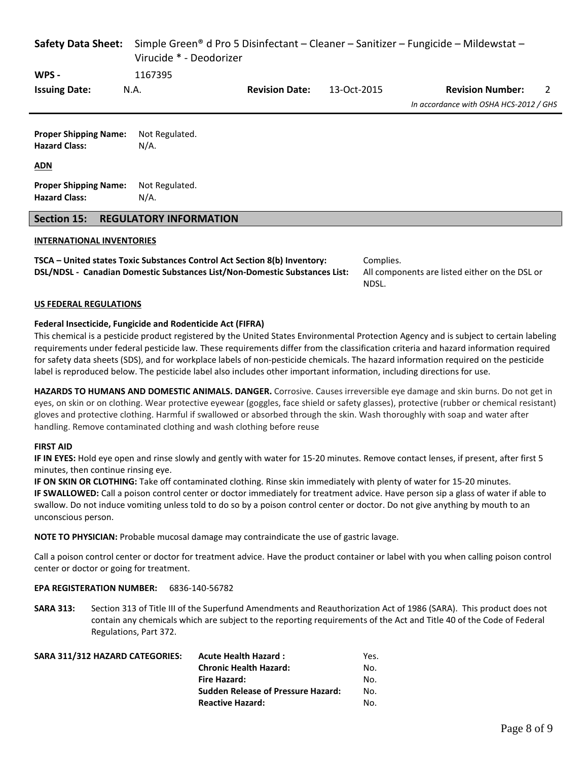| <b>Safety Data Sheet:</b>                                          | Simple Green <sup>®</sup> d Pro 5 Disinfectant – Cleaner – Sanitizer – Fungicide – Mildewstat –<br>Virucide * - Deodorizer |                       |             |                                        |  |  |  |
|--------------------------------------------------------------------|----------------------------------------------------------------------------------------------------------------------------|-----------------------|-------------|----------------------------------------|--|--|--|
| WPS -                                                              | 1167395                                                                                                                    |                       |             |                                        |  |  |  |
| <b>Issuing Date:</b>                                               | N.A.                                                                                                                       | <b>Revision Date:</b> | 13-Oct-2015 | <b>Revision Number:</b><br>2           |  |  |  |
|                                                                    |                                                                                                                            |                       |             | In accordance with OSHA HCS-2012 / GHS |  |  |  |
| <b>Proper Shipping Name:</b><br><b>Hazard Class:</b><br><u>ADN</u> | Not Regulated.<br>$N/A$ .                                                                                                  |                       |             |                                        |  |  |  |
|                                                                    |                                                                                                                            |                       |             |                                        |  |  |  |
| <b>Proper Shipping Name:</b><br><b>Hazard Class:</b>               | Not Regulated.<br>N/A.                                                                                                     |                       |             |                                        |  |  |  |
| Section 15:                                                        | <b>REGULATORY INFORMATION</b>                                                                                              |                       |             |                                        |  |  |  |

# **INTERNATIONAL INVENTORIES**

**TSCA – United states Toxic Substances Control Act Section 8(b) Inventory:** Complies. **DSL/NDSL - Canadian Domestic Substances List/Non-Domestic Substances List:** All components are listed either on the DSL or

NDSL.

# **US FEDERAL REGULATIONS**

### **Federal Insecticide, Fungicide and Rodenticide Act (FIFRA)**

This chemical is a pesticide product registered by the United States Environmental Protection Agency and is subject to certain labeling requirements under federal pesticide law. These requirements differ from the classification criteria and hazard information required for safety data sheets (SDS), and for workplace labels of non-pesticide chemicals. The hazard information required on the pesticide label is reproduced below. The pesticide label also includes other important information, including directions for use.

**HAZARDS TO HUMANS AND DOMESTIC ANIMALS. DANGER.** Corrosive. Causes irreversible eye damage and skin burns. Do not get in eyes, on skin or on clothing. Wear protective eyewear (goggles, face shield or safety glasses), protective (rubber or chemical resistant) gloves and protective clothing. Harmful if swallowed or absorbed through the skin. Wash thoroughly with soap and water after handling. Remove contaminated clothing and wash clothing before reuse

### **FIRST AID**

**IF IN EYES:** Hold eye open and rinse slowly and gently with water for 15-20 minutes. Remove contact lenses, if present, after first 5 minutes, then continue rinsing eye.

**IF ON SKIN OR CLOTHING:** Take off contaminated clothing. Rinse skin immediately with plenty of water for 15-20 minutes. **IF SWALLOWED:** Call a poison control center or doctor immediately for treatment advice. Have person sip a glass of water if able to swallow. Do not induce vomiting unless told to do so by a poison control center or doctor. Do not give anything by mouth to an unconscious person.

**NOTE TO PHYSICIAN:** Probable mucosal damage may contraindicate the use of gastric lavage.

Call a poison control center or doctor for treatment advice. Have the product container or label with you when calling poison control center or doctor or going for treatment.

### **EPA REGISTERATION NUMBER:** 6836-140-56782

**SARA 313:** Section 313 of Title III of the Superfund Amendments and Reauthorization Act of 1986 (SARA). This product does not contain any chemicals which are subject to the reporting requirements of the Act and Title 40 of the Code of Federal Regulations, Part 372.

| SARA 311/312 HAZARD CATEGORIES: | <b>Acute Health Hazard:</b>               | Yes. |
|---------------------------------|-------------------------------------------|------|
|                                 | <b>Chronic Health Hazard:</b>             | No.  |
|                                 | Fire Hazard:                              | No.  |
|                                 | <b>Sudden Release of Pressure Hazard:</b> | No.  |
|                                 | <b>Reactive Hazard:</b>                   | No.  |